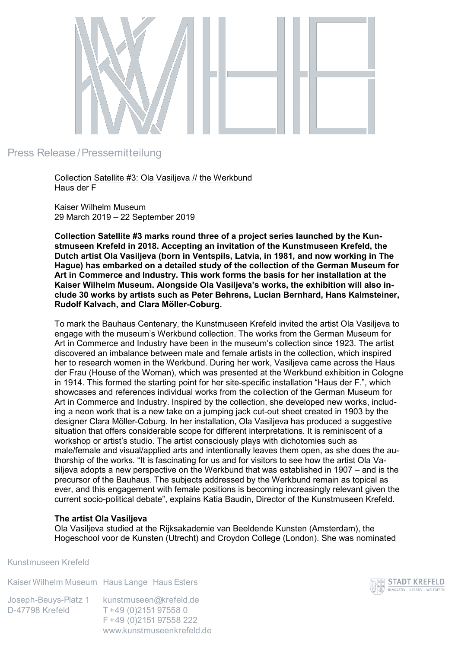

## Press Release /Pressemitteilung

Collection Satellite #3: Ola Vasiljeva // the Werkbund Haus der F

Kaiser Wilhelm Museum 29 March 2019 – 22 September 2019

**Collection Satellite #3 marks round three of a project series launched by the Kunstmuseen Krefeld in 2018. Accepting an invitation of the Kunstmuseen Krefeld, the Dutch artist Ola Vasiljeva (born in Ventspils, Latvia, in 1981, and now working in The Hague) has embarked on a detailed study of the collection of the German Museum for Art in Commerce and Industry. This work forms the basis for her installation at the Kaiser Wilhelm Museum. Alongside Ola Vasiljeva's works, the exhibition will also include 30 works by artists such as Peter Behrens, Lucian Bernhard, Hans Kalmsteiner, Rudolf Kalvach, and Clara Möller-Coburg.** 

To mark the Bauhaus Centenary, the Kunstmuseen Krefeld invited the artist Ola Vasiljeva to engage with the museum's Werkbund collection. The works from the German Museum for Art in Commerce and Industry have been in the museum's collection since 1923. The artist discovered an imbalance between male and female artists in the collection, which inspired her to research women in the Werkbund. During her work, Vasiljeva came across the Haus der Frau (House of the Woman), which was presented at the Werkbund exhibition in Cologne in 1914. This formed the starting point for her site-specific installation "Haus der F.", which showcases and references individual works from the collection of the German Museum for Art in Commerce and Industry. Inspired by the collection, she developed new works, including a neon work that is a new take on a jumping jack cut-out sheet created in 1903 by the designer Clara Möller-Coburg. In her installation, Ola Vasiljeva has produced a suggestive situation that offers considerable scope for different interpretations. It is reminiscent of a workshop or artist's studio. The artist consciously plays with dichotomies such as male/female and visual/applied arts and intentionally leaves them open, as she does the authorship of the works. "It is fascinating for us and for visitors to see how the artist Ola Vasiljeva adopts a new perspective on the Werkbund that was established in 1907 – and is the precursor of the Bauhaus. The subjects addressed by the Werkbund remain as topical as ever, and this engagement with female positions is becoming increasingly relevant given the current socio-political debate", explains Katia Baudin, Director of the Kunstmuseen Krefeld.

## **The artist Ola Vasiljeva**

Ola Vasiljeva studied at the Rijksakademie van Beeldende Kunsten (Amsterdam), the Hogeschool voor de Kunsten (Utrecht) and Croydon College (London). She was nominated

Kunstmuseen Krefeld

Kaiser Wilhelm Museum Haus Lange Haus Esters

kunstmuseen@krefeld.de T +49 (0)2151 97558 0 F +49 (0)2151 97558 222 www.kunstmuseenkrefeld.de Joseph-Beuys-Platz 1 D-47798 Krefeld

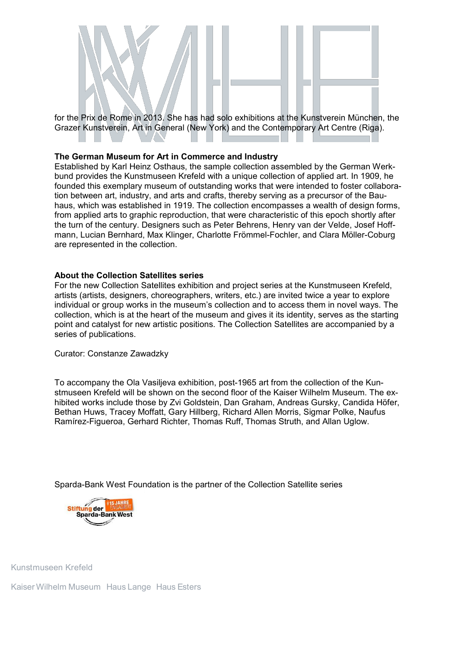

Grazer Kunstverein, Art in General (New York) and the Contemporary Art Centre (Riga).

## **The German Museum for Art in Commerce and Industry**

Established by Karl Heinz Osthaus, the sample collection assembled by the German Werkbund provides the Kunstmuseen Krefeld with a unique collection of applied art. In 1909, he founded this exemplary museum of outstanding works that were intended to foster collaboration between art, industry, and arts and crafts, thereby serving as a precursor of the Bauhaus, which was established in 1919. The collection encompasses a wealth of design forms, from applied arts to graphic reproduction, that were characteristic of this epoch shortly after the turn of the century. Designers such as Peter Behrens, Henry van der Velde, Josef Hoffmann, Lucian Bernhard, Max Klinger, Charlotte Frömmel-Fochler, and Clara Möller-Coburg are represented in the collection.

## **About the Collection Satellites series**

For the new Collection Satellites exhibition and project series at the Kunstmuseen Krefeld, artists (artists, designers, choreographers, writers, etc.) are invited twice a year to explore individual or group works in the museum's collection and to access them in novel ways. The collection, which is at the heart of the museum and gives it its identity, serves as the starting point and catalyst for new artistic positions. The Collection Satellites are accompanied by a series of publications.

Curator: Constanze Zawadzky

To accompany the Ola Vasiljeva exhibition, post-1965 art from the collection of the Kunstmuseen Krefeld will be shown on the second floor of the Kaiser Wilhelm Museum. The exhibited works include those by Zvi Goldstein, Dan Graham, Andreas Gursky, Candida Höfer, Bethan Huws, Tracey Moffatt, Gary Hillberg, Richard Allen Morris, Sigmar Polke, Naufus Ramírez-Figueroa, Gerhard Richter, Thomas Ruff, Thomas Struth, and Allan Uglow.

Sparda-Bank West Foundation is the partner of the Collection Satellite series



Kunstmuseen Krefeld

Kaiser Wilhelm Museum Haus Lange Haus Esters